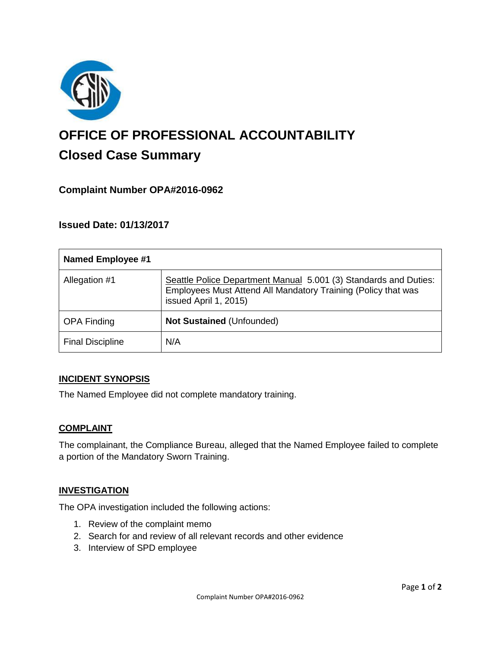

# **OFFICE OF PROFESSIONAL ACCOUNTABILITY Closed Case Summary**

# **Complaint Number OPA#2016-0962**

### **Issued Date: 01/13/2017**

| <b>Named Employee #1</b> |                                                                                                                                                            |
|--------------------------|------------------------------------------------------------------------------------------------------------------------------------------------------------|
| Allegation #1            | Seattle Police Department Manual 5.001 (3) Standards and Duties:<br>Employees Must Attend All Mandatory Training (Policy that was<br>issued April 1, 2015) |
| <b>OPA Finding</b>       | Not Sustained (Unfounded)                                                                                                                                  |
| <b>Final Discipline</b>  | N/A                                                                                                                                                        |

#### **INCIDENT SYNOPSIS**

The Named Employee did not complete mandatory training.

#### **COMPLAINT**

The complainant, the Compliance Bureau, alleged that the Named Employee failed to complete a portion of the Mandatory Sworn Training.

#### **INVESTIGATION**

The OPA investigation included the following actions:

- 1. Review of the complaint memo
- 2. Search for and review of all relevant records and other evidence
- 3. Interview of SPD employee